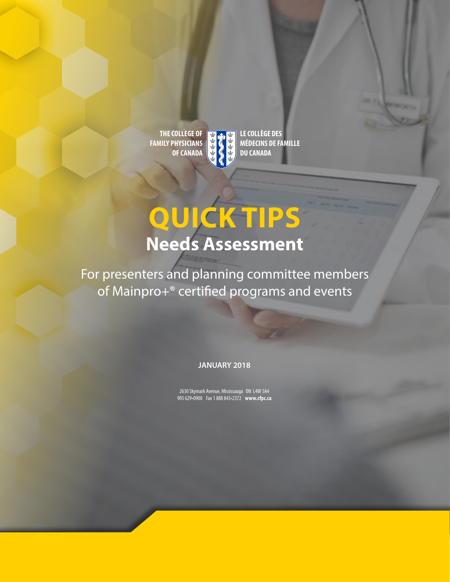**THE COLLEGE OF FAMILY PHYSICIANS OF CANADA** 

**LE COLLÈGE DES MÉDECINS DE FAMILLE DU CANADA** 

## **QUICK TIPS Needs Assessment**

For presenters and planning committee members of Mainpro+® certifed programs and events

**JANUARY 2018** 

2630 Skymark Avenue, Mississauga ON L4W 5A4 905 629•0900 Fax 1 888 843•2372 **<www.cfpc.ca>**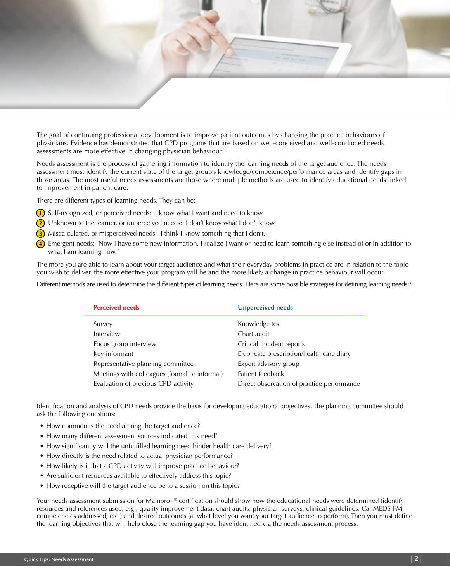

The goal of continuing professional development is to improve patient outcomes by changing the practice behaviours of physicians. Evidence has demonstrated that CPD programs that are based on well-conceived and well-conducted needs assessments are more effective in changing physician behaviour.1

Needs assessment is the process of gathering information to identify the learning needs of the target audience. The needs assessment must identify the current state of the target group's knowledge/competence/performance areas and identify gaps in those areas. The most useful needs assessments are those where multiple methods are used to identify educational needs linked to improvement in patient care.

There are different types of learning needs. They can be:

- **1**) Self-recognized, or perceived needs: I know what I want and need to know.
- $\Omega$  Unknown to the learner, or unperceived needs: I don't know what I don't know.
- **3**) Miscalculated, or misperceived needs: I think I know something that I don't.
- **4** Emergent needs: Now I have some new information, I realize I want or need to learn something else instead of or in addition to what I am learning now. $2$

The more you are able to learn about your target audience and what their everyday problems in practice are in relation to the topic you wish to deliver, the more effective your program will be and the more likely a change in practice behaviour will occur.

Different methods are used to determine the different types of learning needs. Here are some possible strategies for defining learning needs:<sup>3</sup>

| <b>Perceived needs</b>                        | <b>Unperceived needs</b>                   |
|-----------------------------------------------|--------------------------------------------|
| Survey                                        | Knowledge test                             |
| Interview                                     | Chart audit                                |
| Focus group interview                         | Critical incident reports                  |
| Key informant                                 | Duplicate prescription/health care diary   |
| Representative planning committee             | Expert advisory group                      |
| Meetings with colleagues (formal or informal) | Patient feedback                           |
| Evaluation of previous CPD activity           | Direct observation of practice performance |

Identification and analysis of CPD needs provide the basis for developing educational objectives. The planning committee should ask the following questions:

- How common is the need among the target audience?
- How many different assessment sources indicated this need?
- How significantly will the unfulfilled learning need hinder health care delivery?
- How directly is the need related to actual physician performance?
- How likely is it that a CPD activity will improve practice behaviour?
- Are sufficient resources available to effectively address this topic?
- How receptive will the target audience be to a session on this topic?

Your needs assessment submission for Mainpro+® certification should show how the educational needs were determined (identify resources and references used; e.g., quality improvement data, chart audits, physician surveys, clinical guidelines, CanMEDS-FM competencies addressed, etc.) and desired outcomes (at what level you want your target audience to perform). Then you must define the learning objectives that will help close the learning gap you have identified via the needs assessment process.